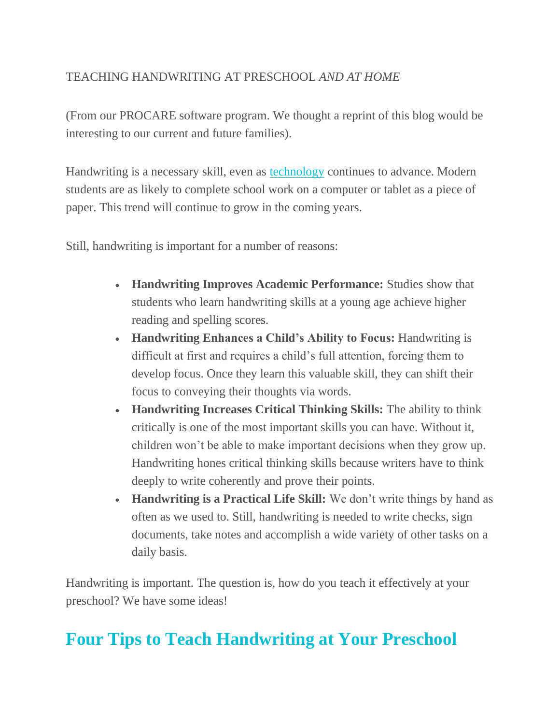# TEACHING HANDWRITING AT PRESCHOOL *AND AT HOME*

(From our PROCARE software program. We thought a reprint of this blog would be interesting to our current and future families).

Handwriting is a necessary skill, even as [technology](https://www.procaresoftware.com/resources/child-care-technology-your-center-needs/) continues to advance. Modern students are as likely to complete school work on a computer or tablet as a piece of paper. This trend will continue to grow in the coming years.

Still, handwriting is important for a number of reasons:

- **Handwriting Improves Academic Performance:** Studies show that students who learn handwriting skills at a young age achieve higher reading and spelling scores.
- **Handwriting Enhances a Child's Ability to Focus:** Handwriting is difficult at first and requires a child's full attention, forcing them to develop focus. Once they learn this valuable skill, they can shift their focus to conveying their thoughts via words.
- **Handwriting Increases Critical Thinking Skills:** The ability to think critically is one of the most important skills you can have. Without it, children won't be able to make important decisions when they grow up. Handwriting hones critical thinking skills because writers have to think deeply to write coherently and prove their points.
- **Handwriting is a Practical Life Skill:** We don't write things by hand as often as we used to. Still, handwriting is needed to write checks, sign documents, take notes and accomplish a wide variety of other tasks on a daily basis.

Handwriting is important. The question is, how do you teach it effectively at your preschool? We have some ideas!

# **Four Tips to Teach Handwriting at Your Preschool**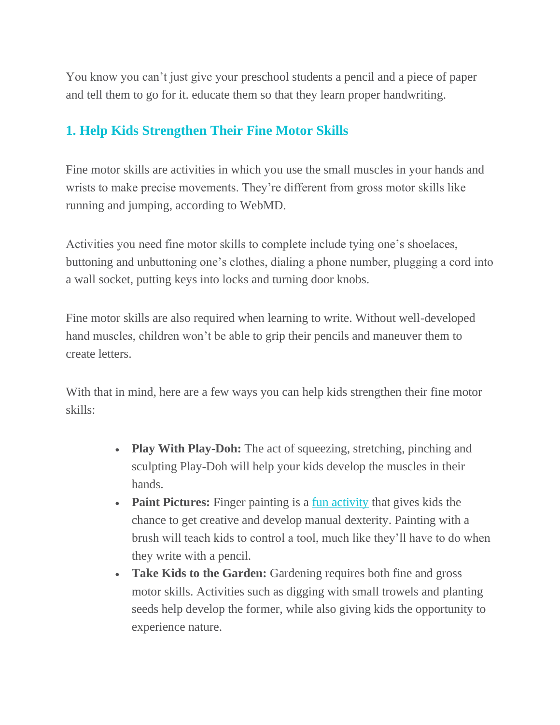You know you can't just give your preschool students a pencil and a piece of paper and tell them to go for it. educate them so that they learn proper handwriting.

# **1. Help Kids Strengthen Their Fine Motor Skills**

Fine motor skills are activities in which you use the small muscles in your hands and wrists to make precise movements. They're different from gross motor skills like running and jumping, according to WebMD.

Activities you need fine motor skills to complete include tying one's shoelaces, buttoning and unbuttoning one's clothes, dialing a phone number, plugging a cord into a wall socket, putting keys into locks and turning door knobs.

Fine motor skills are also required when learning to write. Without well-developed hand muscles, children won't be able to grip their pencils and maneuver them to create letters.

With that in mind, here are a few ways you can help kids strengthen their fine motor skills:

- **Play With Play-Doh:** The act of squeezing, stretching, pinching and sculpting Play-Doh will help your kids develop the muscles in their hands.
- **Paint Pictures:** Finger painting is a [fun activity](https://www.procaresoftware.com/resources/how-to-make-your-child-care-center-fun/) that gives kids the chance to get creative and develop manual dexterity. Painting with a brush will teach kids to control a tool, much like they'll have to do when they write with a pencil.
- **Take Kids to the Garden:** Gardening requires both fine and gross motor skills. Activities such as digging with small trowels and planting seeds help develop the former, while also giving kids the opportunity to experience nature.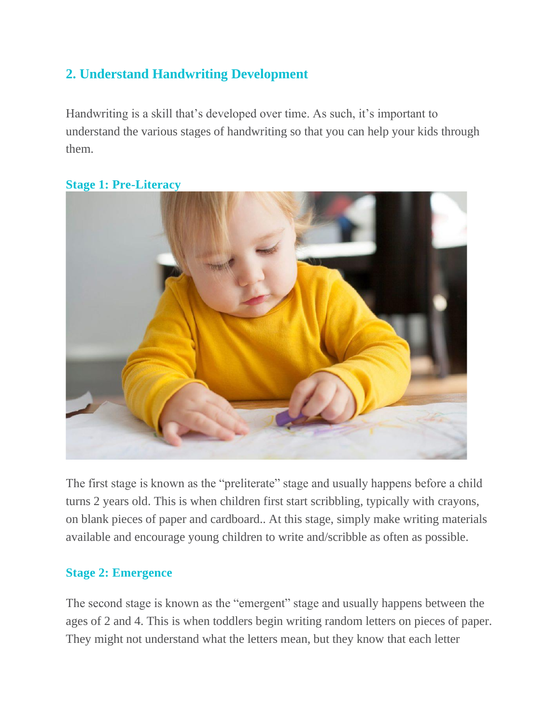# **2. Understand Handwriting Development**

Handwriting is a skill that's developed over time. As such, it's important to understand the various stages of handwriting so that you can help your kids through them.



### **Stage 1: Pre-Literacy**

The first stage is known as the "preliterate" stage and usually happens before a child turns 2 years old. This is when children first start scribbling, typically with crayons, on blank pieces of paper and cardboard.. At this stage, simply make writing materials available and encourage young children to write and/scribble as often as possible.

### **Stage 2: Emergence**

The second stage is known as the "emergent" stage and usually happens between the ages of 2 and 4. This is when toddlers begin writing random letters on pieces of paper. They might not understand what the letters mean, but they know that each letter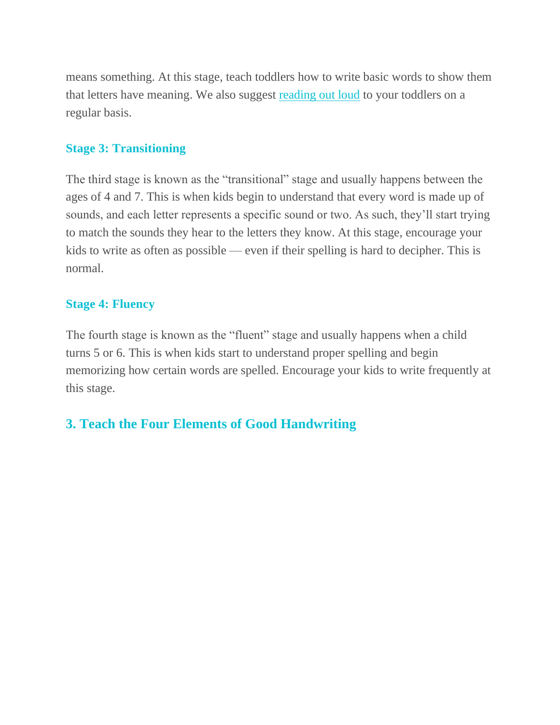means something. At this stage, teach toddlers how to write basic words to show them that letters have meaning. We also suggest [reading out loud](https://www.procaresoftware.com/resources/nine-ways-to-promote-literacy-at-your-child-care-center/) to your toddlers on a regular basis.

#### **Stage 3: Transitioning**

The third stage is known as the "transitional" stage and usually happens between the ages of 4 and 7. This is when kids begin to understand that every word is made up of sounds, and each letter represents a specific sound or two. As such, they'll start trying to match the sounds they hear to the letters they know. At this stage, encourage your kids to write as often as possible — even if their spelling is hard to decipher. This is normal.

#### **Stage 4: Fluency**

The fourth stage is known as the "fluent" stage and usually happens when a child turns 5 or 6. This is when kids start to understand proper spelling and begin memorizing how certain words are spelled. Encourage your kids to write frequently at this stage.

## **3. Teach the Four Elements of Good Handwriting**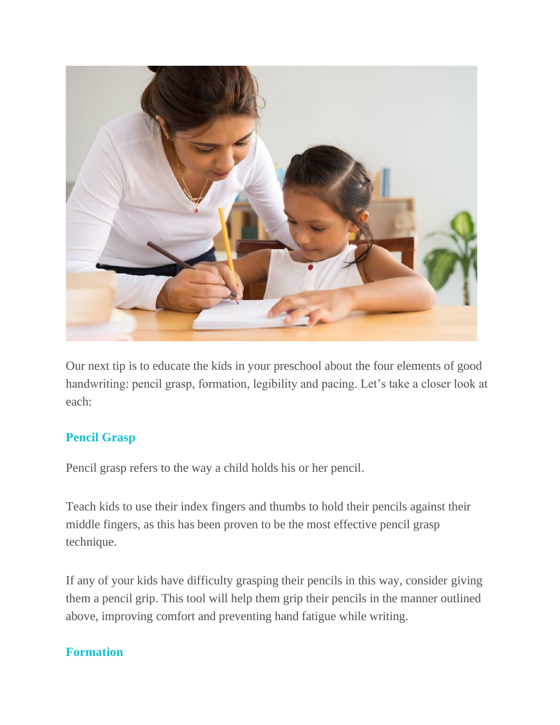

Our next tip is to educate the kids in your preschool about the four elements of good handwriting: pencil grasp, formation, legibility and pacing. Let's take a closer look at each:

### **Pencil Grasp**

Pencil grasp refers to the way a child holds his or her pencil.

Teach kids to use their index fingers and thumbs to hold their pencils against their middle fingers, as this has been proven to be the most effective pencil grasp technique.

If any of your kids have difficulty grasping their pencils in this way, consider giving them a pencil grip. This tool will help them grip their pencils in the manner outlined above, improving comfort and preventing hand fatigue while writing.

### **Formation**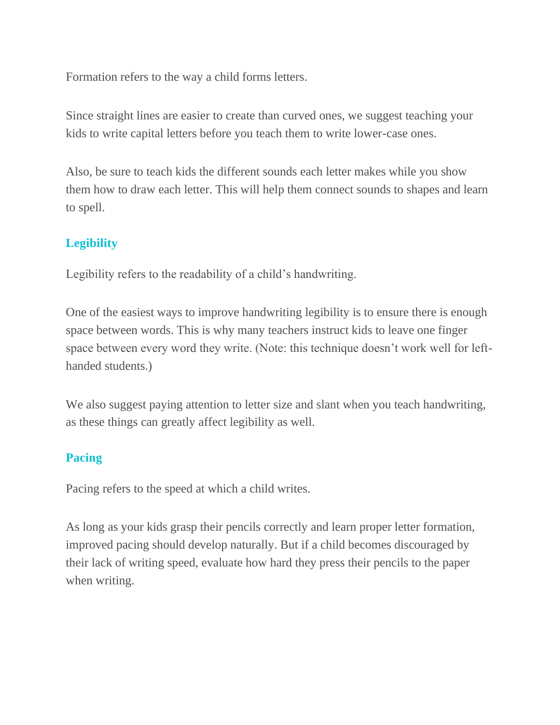Formation refers to the way a child forms letters.

Since straight lines are easier to create than curved ones, we suggest teaching your kids to write capital letters before you teach them to write lower-case ones.

Also, be sure to teach kids the different sounds each letter makes while you show them how to draw each letter. This will help them connect sounds to shapes and learn to spell.

# **Legibility**

Legibility refers to the readability of a child's handwriting.

One of the easiest ways to improve handwriting legibility is to ensure there is enough space between words. This is why many teachers instruct kids to leave one finger space between every word they write. (Note: this technique doesn't work well for lefthanded students.)

We also suggest paying attention to letter size and slant when you teach handwriting, as these things can greatly affect legibility as well.

### **Pacing**

Pacing refers to the speed at which a child writes.

As long as your kids grasp their pencils correctly and learn proper letter formation, improved pacing should develop naturally. But if a child becomes discouraged by their lack of writing speed, evaluate how hard they press their pencils to the paper when writing.